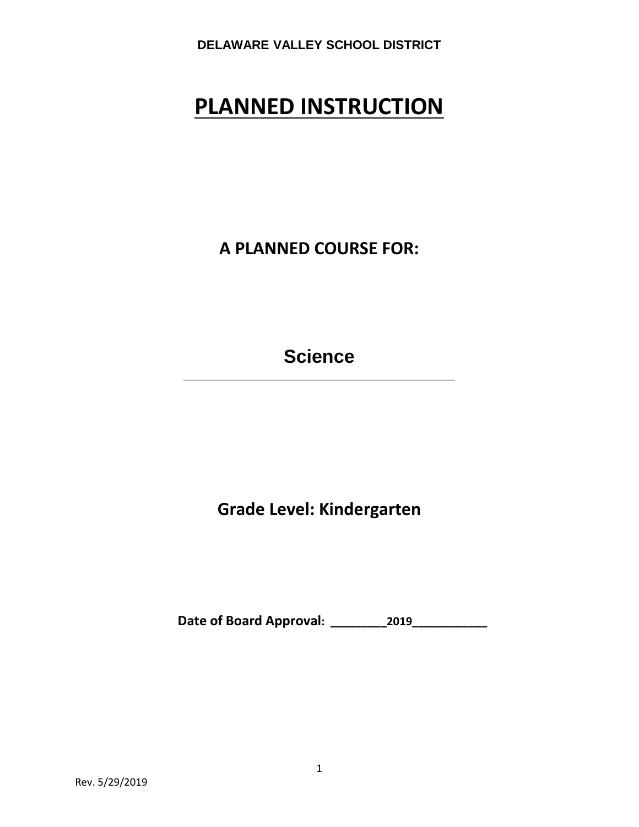# **PLANNED INSTRUCTION**

**A PLANNED COURSE FOR:**

**Science \_\_\_\_\_\_\_\_\_\_\_\_\_\_\_\_\_\_\_\_\_\_\_\_\_\_\_\_\_\_\_\_\_\_\_\_\_\_\_**

**Grade Level: Kindergarten**

**Date of Board Approval: \_\_\_\_\_\_\_\_\_2019\_\_\_\_\_\_\_\_\_\_\_\_**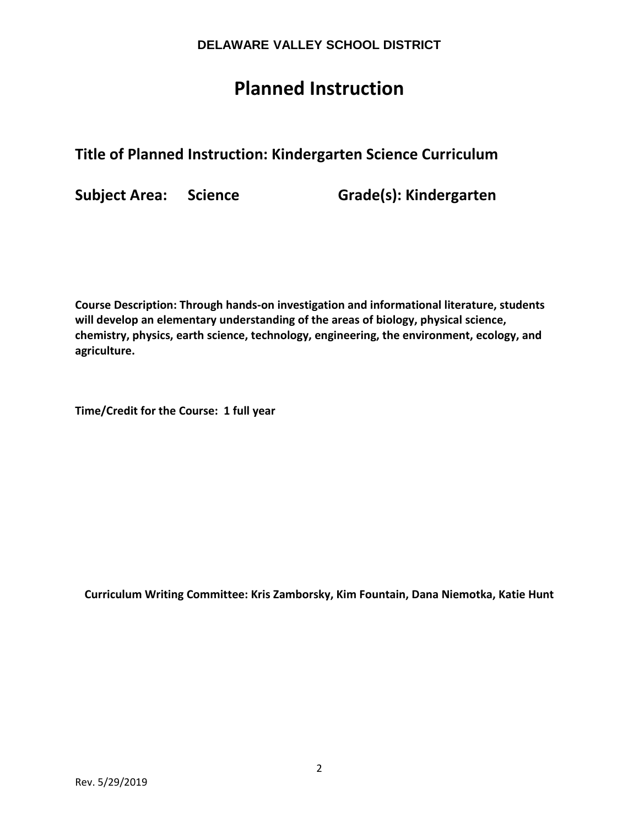## **Planned Instruction**

## **Title of Planned Instruction: Kindergarten Science Curriculum**

**Subject Area: Science Grade(s): Kindergarten**

**Course Description: Through hands-on investigation and informational literature, students will develop an elementary understanding of the areas of biology, physical science, chemistry, physics, earth science, technology, engineering, the environment, ecology, and agriculture.** 

**Time/Credit for the Course: 1 full year**

**Curriculum Writing Committee: Kris Zamborsky, Kim Fountain, Dana Niemotka, Katie Hunt**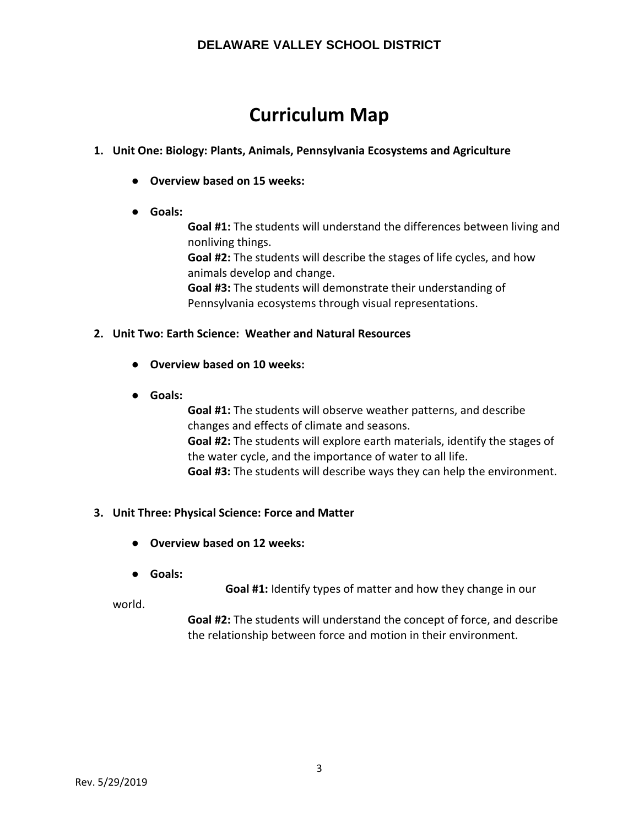## **Curriculum Map**

### **1. Unit One: Biology: Plants, Animals, Pennsylvania Ecosystems and Agriculture**

- **Overview based on 15 weeks:**
- **Goals:**

**Goal #1:** The students will understand the differences between living and nonliving things.

**Goal #2:** The students will describe the stages of life cycles, and how animals develop and change.

**Goal #3:** The students will demonstrate their understanding of Pennsylvania ecosystems through visual representations.

#### **2. Unit Two: Earth Science: Weather and Natural Resources**

- **Overview based on 10 weeks:**
- **Goals:**

**Goal #1:** The students will observe weather patterns, and describe changes and effects of climate and seasons. **Goal #2:** The students will explore earth materials, identify the stages of the water cycle, and the importance of water to all life. **Goal #3:** The students will describe ways they can help the environment.

### **3. Unit Three: Physical Science: Force and Matter**

- **Overview based on 12 weeks:**
- **Goals:**

**Goal #1:** Identify types of matter and how they change in our

world.

**Goal #2:** The students will understand the concept of force, and describe the relationship between force and motion in their environment.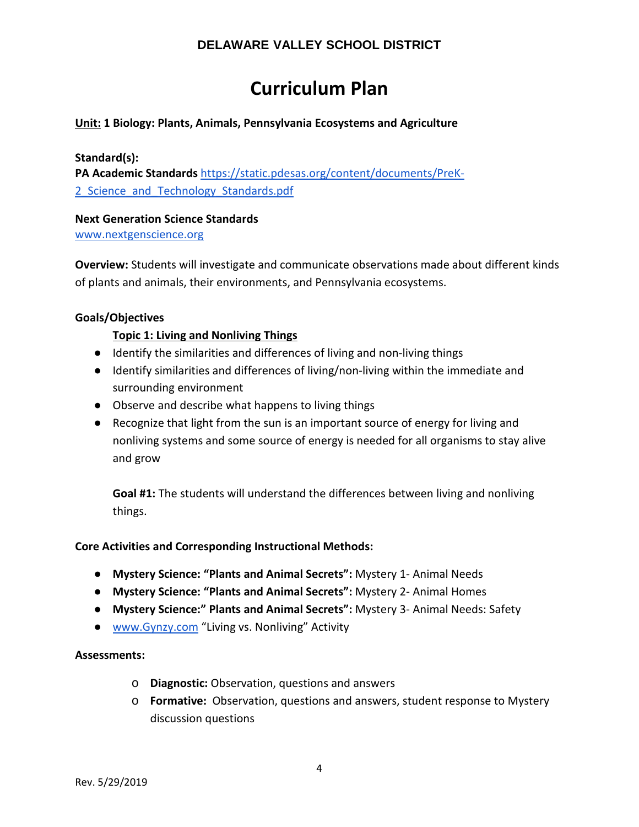## **Curriculum Plan**

#### **Unit: 1 Biology: Plants, Animals, Pennsylvania Ecosystems and Agriculture**

#### **Standard(s):**

**PA Academic Standards** [https://static.pdesas.org/content/documents/PreK-](https://static.pdesas.org/content/documents/PreK-2_Science_and_Technology_Standards.pdf)[2\\_Science\\_and\\_Technology\\_Standards.pdf](https://static.pdesas.org/content/documents/PreK-2_Science_and_Technology_Standards.pdf)

## **Next Generation Science Standards**

[www.nextgenscience.org](http://www.nextgenscience.org/)

**Overview:** Students will investigate and communicate observations made about different kinds of plants and animals, their environments, and Pennsylvania ecosystems.

#### **Goals/Objectives**

### **Topic 1: Living and Nonliving Things**

- Identify the similarities and differences of living and non-living things
- Identify similarities and differences of living/non-living within the immediate and surrounding environment
- Observe and describe what happens to living things
- Recognize that light from the sun is an important source of energy for living and nonliving systems and some source of energy is needed for all organisms to stay alive and grow

**Goal #1:** The students will understand the differences between living and nonliving things.

#### **Core Activities and Corresponding Instructional Methods:**

- **Mystery Science: "Plants and Animal Secrets":** Mystery 1- Animal Needs
- **Mystery Science: "Plants and Animal Secrets":** Mystery 2- Animal Homes
- **Mystery Science:" Plants and Animal Secrets":** Mystery 3- Animal Needs: Safety
- [www.Gynzy.com](http://www.gynzy.com/) "Living vs. Nonliving" Activity

#### **Assessments:**

- o **Diagnostic:** Observation, questions and answers
- o **Formative:** Observation, questions and answers, student response to Mystery discussion questions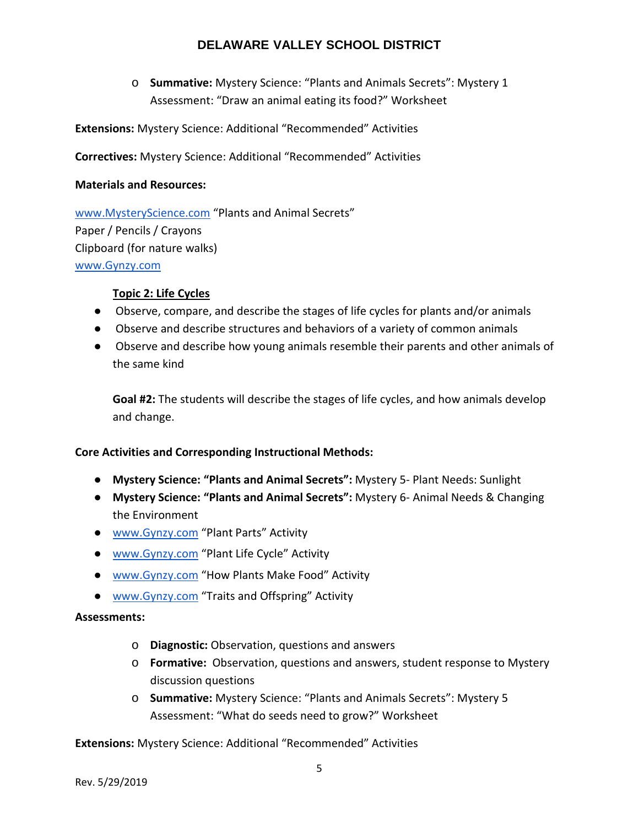o **Summative:** Mystery Science: "Plants and Animals Secrets": Mystery 1 Assessment: "Draw an animal eating its food?" Worksheet

**Extensions:** Mystery Science: Additional "Recommended" Activities

**Correctives:** Mystery Science: Additional "Recommended" Activities

#### **Materials and Resources:**

[www.MysteryScience.com](http://www.mysteryscience.com/) "Plants and Animal Secrets" Paper / Pencils / Crayons Clipboard (for nature walks) [www.Gynzy.com](http://www.gynzy.com/)

#### **Topic 2: Life Cycles**

- Observe, compare, and describe the stages of life cycles for plants and/or animals
- Observe and describe structures and behaviors of a variety of common animals
- Observe and describe how young animals resemble their parents and other animals of the same kind

**Goal #2:** The students will describe the stages of life cycles, and how animals develop and change.

#### **Core Activities and Corresponding Instructional Methods:**

- **Mystery Science: "Plants and Animal Secrets":** Mystery 5- Plant Needs: Sunlight
- **Mystery Science: "Plants and Animal Secrets":** Mystery 6- Animal Needs & Changing the Environment
- [www.Gynzy.com](http://www.gynzy.com/) "Plant Parts" Activity
- [www.Gynzy.com](http://www.gynzy.com/) "Plant Life Cycle" Activity
- [www.Gynzy.com](http://www.gynzy.com/) "How Plants Make Food" Activity
- [www.Gynzy.com](http://www.gynzy.com/) "Traits and Offspring" Activity

#### **Assessments:**

- o **Diagnostic:** Observation, questions and answers
- o **Formative:** Observation, questions and answers, student response to Mystery discussion questions
- o **Summative:** Mystery Science: "Plants and Animals Secrets": Mystery 5 Assessment: "What do seeds need to grow?" Worksheet

#### **Extensions:** Mystery Science: Additional "Recommended" Activities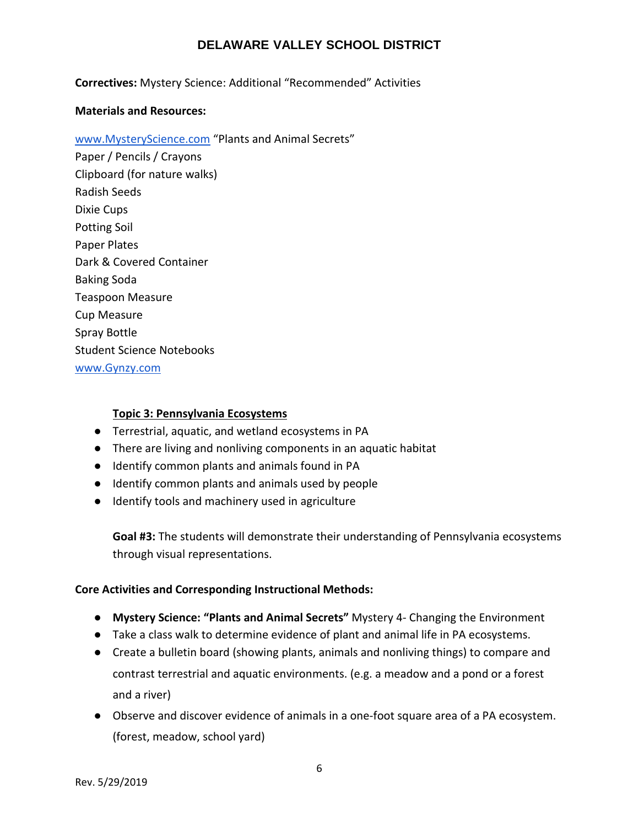#### **Correctives:** Mystery Science: Additional "Recommended" Activities

#### **Materials and Resources:**

#### [www.MysteryScience.com](http://www.mysteryscience.com/) "Plants and Animal Secrets"

Paper / Pencils / Crayons Clipboard (for nature walks) Radish Seeds Dixie Cups Potting Soil Paper Plates Dark & Covered Container Baking Soda Teaspoon Measure Cup Measure Spray Bottle Student Science Notebooks [www.Gynzy.com](http://www.gynzy.com/)

#### **Topic 3: Pennsylvania Ecosystems**

- Terrestrial, aquatic, and wetland ecosystems in PA
- There are living and nonliving components in an aquatic habitat
- Identify common plants and animals found in PA
- Identify common plants and animals used by people
- Identify tools and machinery used in agriculture

**Goal #3:** The students will demonstrate their understanding of Pennsylvania ecosystems through visual representations.

#### **Core Activities and Corresponding Instructional Methods:**

- **Mystery Science: "Plants and Animal Secrets"** Mystery 4- Changing the Environment
- Take a class walk to determine evidence of plant and animal life in PA ecosystems.
- Create a bulletin board (showing plants, animals and nonliving things) to compare and contrast terrestrial and aquatic environments. (e.g. a meadow and a pond or a forest and a river)
- Observe and discover evidence of animals in a one-foot square area of a PA ecosystem. (forest, meadow, school yard)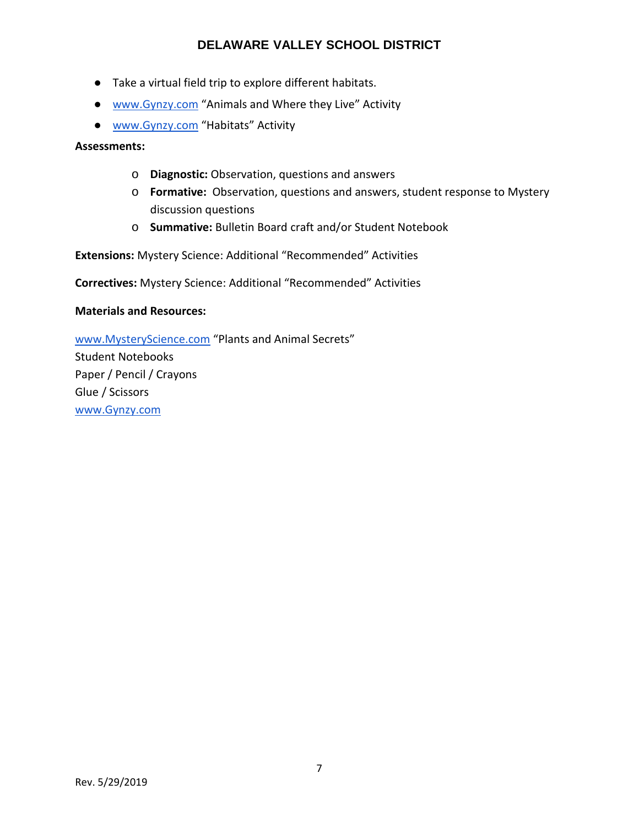- Take a virtual field trip to explore different habitats.
- [www.Gynzy.com](http://www.gynzy.com/) "Animals and Where they Live" Activity
- [www.Gynzy.com](http://www.gynzy.com/) "Habitats" Activity

**Assessments:**

- o **Diagnostic:** Observation, questions and answers
- o **Formative:** Observation, questions and answers, student response to Mystery discussion questions
- o **Summative:** Bulletin Board craft and/or Student Notebook

**Extensions:** Mystery Science: Additional "Recommended" Activities

**Correctives:** Mystery Science: Additional "Recommended" Activities

#### **Materials and Resources:**

[www.MysteryScience.com](http://www.mysteryscience.com/) "Plants and Animal Secrets" Student Notebooks Paper / Pencil / Crayons Glue / Scissors [www.Gynzy.com](http://www.gynzy.com/)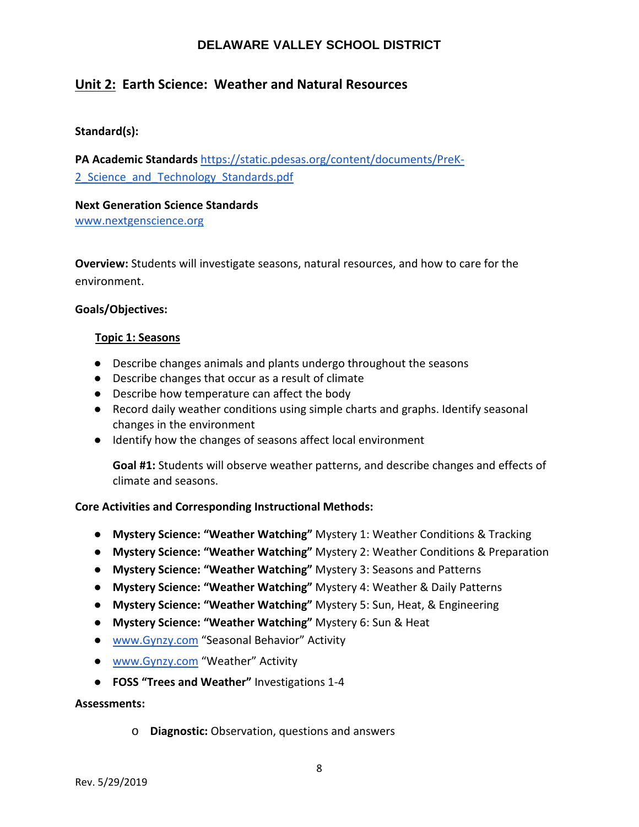## **Unit 2: Earth Science: Weather and Natural Resources**

### **Standard(s):**

**PA Academic Standards** [https://static.pdesas.org/content/documents/PreK-](https://static.pdesas.org/content/documents/PreK-2_Science_and_Technology_Standards.pdf)2 Science and Technology Standards.pdf

**Next Generation Science Standards** [www.nextgenscience.org](http://www.nextgenscience.org/)

**Overview:** Students will investigate seasons, natural resources, and how to care for the environment.

#### **Goals/Objectives:**

#### **Topic 1: Seasons**

- Describe changes animals and plants undergo throughout the seasons
- Describe changes that occur as a result of climate
- Describe how temperature can affect the body
- Record daily weather conditions using simple charts and graphs. Identify seasonal changes in the environment
- Identify how the changes of seasons affect local environment

**Goal #1:** Students will observe weather patterns, and describe changes and effects of climate and seasons.

#### **Core Activities and Corresponding Instructional Methods:**

- **Mystery Science: "Weather Watching"** Mystery 1: Weather Conditions & Tracking
- **Mystery Science: "Weather Watching"** Mystery 2: Weather Conditions & Preparation
- **Mystery Science: "Weather Watching"** Mystery 3: Seasons and Patterns
- **Mystery Science: "Weather Watching"** Mystery 4: Weather & Daily Patterns
- **Mystery Science: "Weather Watching"** Mystery 5: Sun, Heat, & Engineering
- **Mystery Science: "Weather Watching"** Mystery 6: Sun & Heat
- [www.Gynzy.com](http://www.gynzy.com/) "Seasonal Behavior" Activity
- [www.Gynzy.com](http://www.gynzy.com/) "Weather" Activity
- **FOSS "Trees and Weather"** Investigations 1-4

#### **Assessments:**

o **Diagnostic:** Observation, questions and answers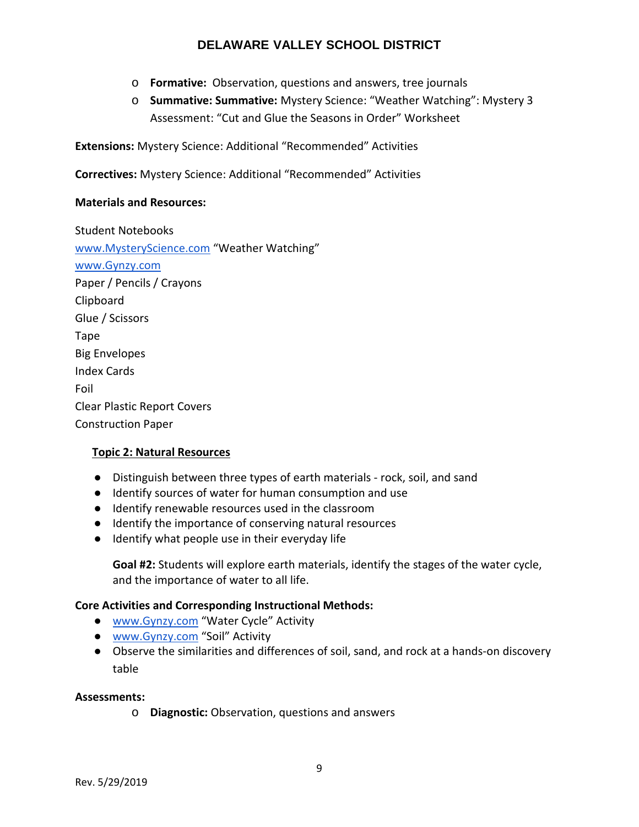- o **Formative:** Observation, questions and answers, tree journals
- o **Summative: Summative:** Mystery Science: "Weather Watching": Mystery 3 Assessment: "Cut and Glue the Seasons in Order" Worksheet

**Extensions:** Mystery Science: Additional "Recommended" Activities

**Correctives:** Mystery Science: Additional "Recommended" Activities

#### **Materials and Resources:**

Student Notebooks [www.MysteryScience.com](http://www.mysteryscience.com/) "Weather Watching" [www.Gynzy.com](http://www.gynzy.com/) Paper / Pencils / Crayons Clipboard Glue / Scissors Tape Big Envelopes Index Cards Foil Clear Plastic Report Covers Construction Paper

#### **Topic 2: Natural Resources**

- Distinguish between three types of earth materials rock, soil, and sand
- Identify sources of water for human consumption and use
- Identify renewable resources used in the classroom
- Identify the importance of conserving natural resources
- Identify what people use in their everyday life

**Goal #2:** Students will explore earth materials, identify the stages of the water cycle, and the importance of water to all life.

#### **Core Activities and Corresponding Instructional Methods:**

- [www.Gynzy.com](http://www.gynzy.com/) "Water Cycle" Activity
- [www.Gynzy.com](http://www.gynzy.com/) "Soil" Activity
- Observe the similarities and differences of soil, sand, and rock at a hands-on discovery table

#### **Assessments:**

o **Diagnostic:** Observation, questions and answers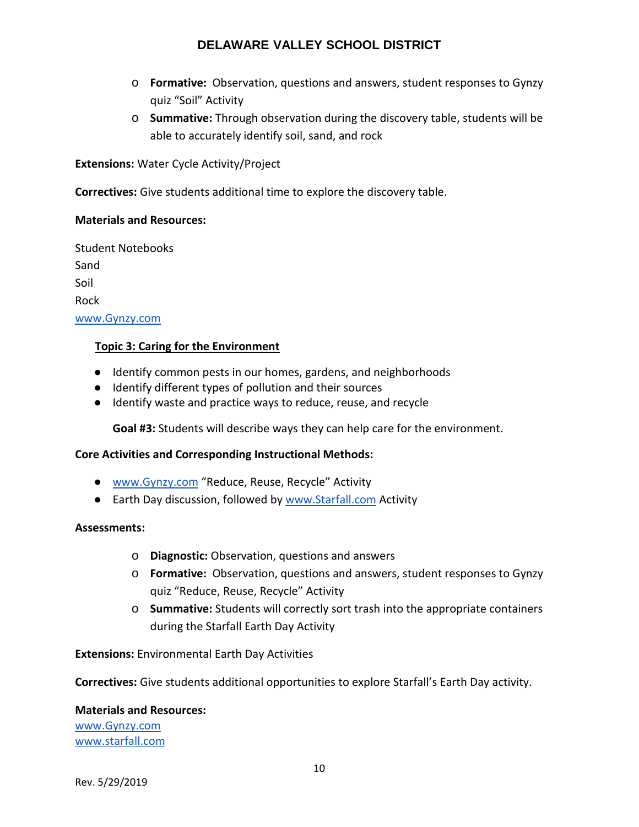- o **Formative:** Observation, questions and answers, student responses to Gynzy quiz "Soil" Activity
- o **Summative:** Through observation during the discovery table, students will be able to accurately identify soil, sand, and rock

**Extensions:** Water Cycle Activity/Project

**Correctives:** Give students additional time to explore the discovery table.

#### **Materials and Resources:**

Student Notebooks Sand Soil Rock [www.Gynzy.com](http://www.gynzy.com/)

#### **Topic 3: Caring for the Environment**

- Identify common pests in our homes, gardens, and neighborhoods
- Identify different types of pollution and their sources
- Identify waste and practice ways to reduce, reuse, and recycle

**Goal #3:** Students will describe ways they can help care for the environment.

#### **Core Activities and Corresponding Instructional Methods:**

- [www.Gynzy.com](http://www.gynzy.com/) "Reduce, Reuse, Recycle" Activity
- Earth Day discussion, followed by [www.Starfall.com](http://www.starfall.com/) Activity

#### **Assessments:**

- o **Diagnostic:** Observation, questions and answers
- o **Formative:** Observation, questions and answers, student responses to Gynzy quiz "Reduce, Reuse, Recycle" Activity
- o **Summative:** Students will correctly sort trash into the appropriate containers during the Starfall Earth Day Activity

**Extensions:** Environmental Earth Day Activities

**Correctives:** Give students additional opportunities to explore Starfall's Earth Day activity.

#### **Materials and Resources:**

[www.Gynzy.com](http://www.gynzy.com/) [www.starfall.com](http://www.starfall.com/)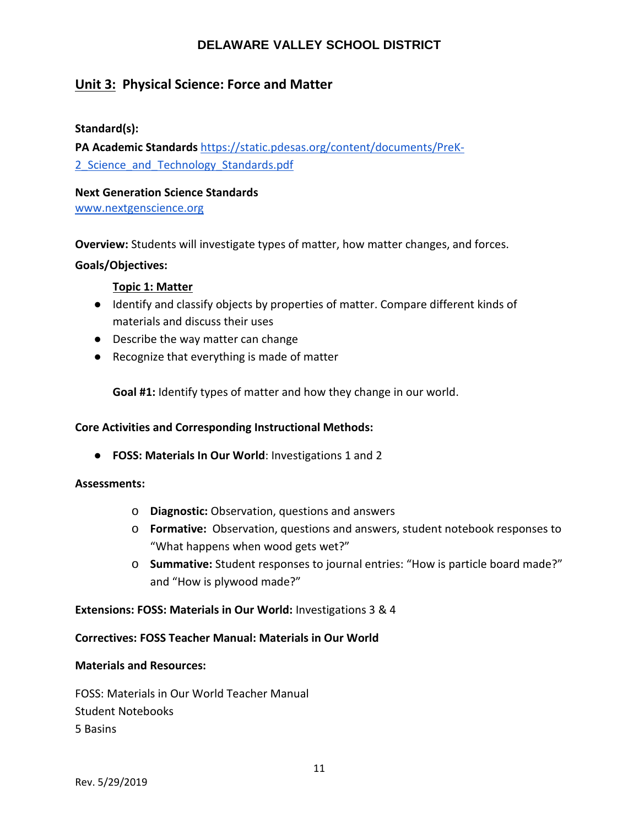## **Unit 3: Physical Science: Force and Matter**

#### **Standard(s):**

**PA Academic Standards** [https://static.pdesas.org/content/documents/PreK-](https://static.pdesas.org/content/documents/PreK-2_Science_and_Technology_Standards.pdf)2 Science and Technology Standards.pdf

## **Next Generation Science Standards**

[www.nextgenscience.org](http://www.nextgenscience.org/)

**Overview:** Students will investigate types of matter, how matter changes, and forces.

#### **Goals/Objectives:**

#### **Topic 1: Matter**

- Identify and classify objects by properties of matter. Compare different kinds of materials and discuss their uses
- Describe the way matter can change
- Recognize that everything is made of matter

**Goal #1:** Identify types of matter and how they change in our world.

#### **Core Activities and Corresponding Instructional Methods:**

● **FOSS: Materials In Our World**: Investigations 1 and 2

#### **Assessments:**

- o **Diagnostic:** Observation, questions and answers
- o **Formative:** Observation, questions and answers, student notebook responses to "What happens when wood gets wet?"
- o **Summative:** Student responses to journal entries: "How is particle board made?" and "How is plywood made?"

#### **Extensions: FOSS: Materials in Our World:** Investigations 3 & 4

#### **Correctives: FOSS Teacher Manual: Materials in Our World**

#### **Materials and Resources:**

FOSS: Materials in Our World Teacher Manual Student Notebooks 5 Basins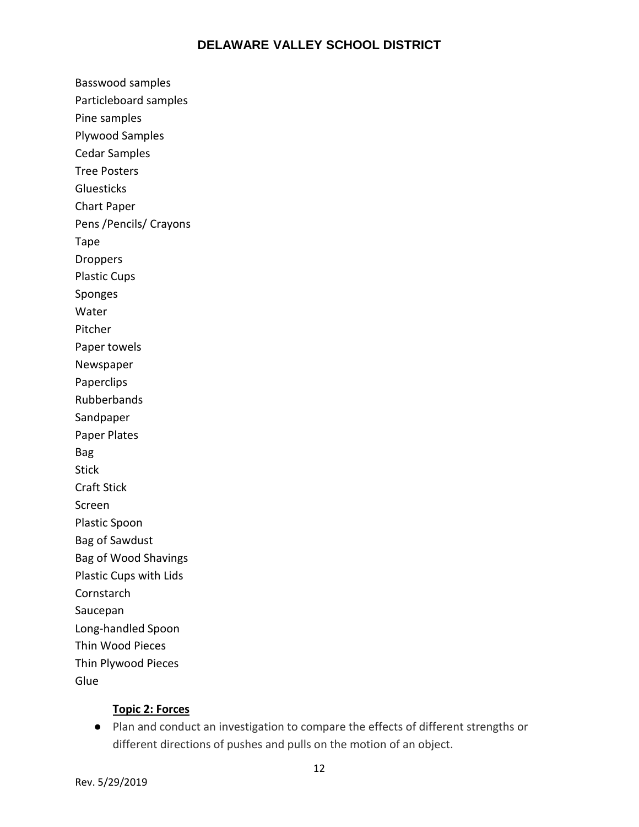Basswood samples Particleboard samples Pine samples Plywood Samples Cedar Samples Tree Posters **Gluesticks** Chart Paper Pens /Pencils/ Crayons Tape Droppers Plastic Cups Sponges Water Pitcher Paper towels Newspaper Paperclips Rubberbands Sandpaper Paper Plates Bag Stick Craft Stick Screen Plastic Spoon Bag of Sawdust Bag of Wood Shavings Plastic Cups with Lids **Cornstarch** Saucepan Long-handled Spoon Thin Wood Pieces Thin Plywood Pieces **Glue** 

### **Topic 2: Forces**

● Plan and conduct an investigation to compare the effects of different strengths or different directions of pushes and pulls on the motion of an object.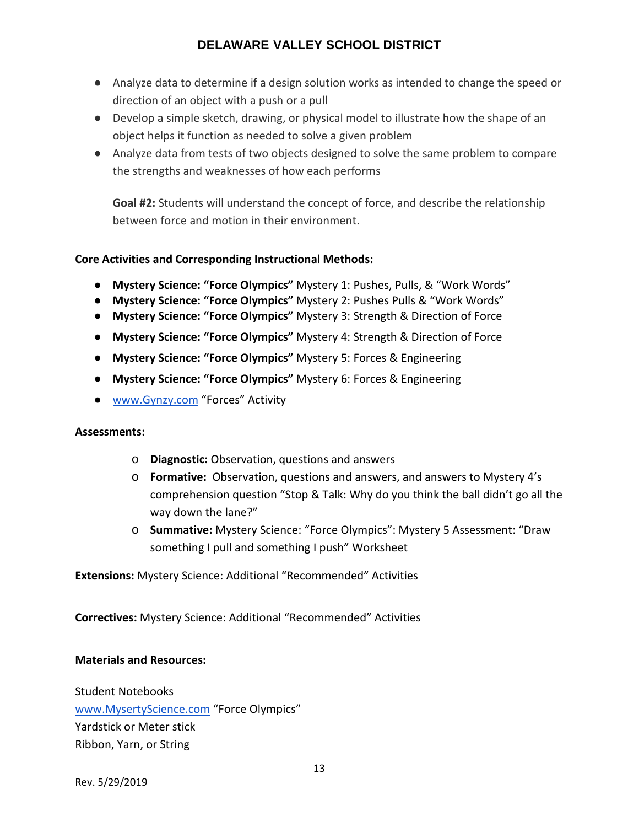- Analyze data to determine if a design solution works as intended to change the speed or direction of an object with a push or a pull
- Develop a simple sketch, drawing, or physical model to illustrate how the shape of an object helps it function as needed to solve a given problem
- Analyze data from tests of two objects designed to solve the same problem to compare the strengths and weaknesses of how each performs

**Goal #2:** Students will understand the concept of force, and describe the relationship between force and motion in their environment.

## **Core Activities and Corresponding Instructional Methods:**

- **Mystery Science: "Force Olympics"** Mystery 1: Pushes, Pulls, & "Work Words"
- **Mystery Science: "Force Olympics"** Mystery 2: Pushes Pulls & "Work Words"
- **Mystery Science: "Force Olympics"** Mystery 3: Strength & Direction of Force
- **Mystery Science: "Force Olympics"** Mystery 4: Strength & Direction of Force
- **Mystery Science: "Force Olympics"** Mystery 5: Forces & Engineering
- **Mystery Science: "Force Olympics"** Mystery 6: Forces & Engineering
- [www.Gynzy.com](http://www.ginzy.com/) "Forces" Activity

#### **Assessments:**

- o **Diagnostic:** Observation, questions and answers
- o **Formative:** Observation, questions and answers, and answers to Mystery 4's comprehension question "Stop & Talk: Why do you think the ball didn't go all the way down the lane?"
- o **Summative:** Mystery Science: "Force Olympics": Mystery 5 Assessment: "Draw something I pull and something I push" Worksheet

### **Extensions:** Mystery Science: Additional "Recommended" Activities

**Correctives:** Mystery Science: Additional "Recommended" Activities

#### **Materials and Resources:**

Student Notebooks [www.MysertyScience.com](http://www.mysertyscience.com/) "Force Olympics" Yardstick or Meter stick Ribbon, Yarn, or String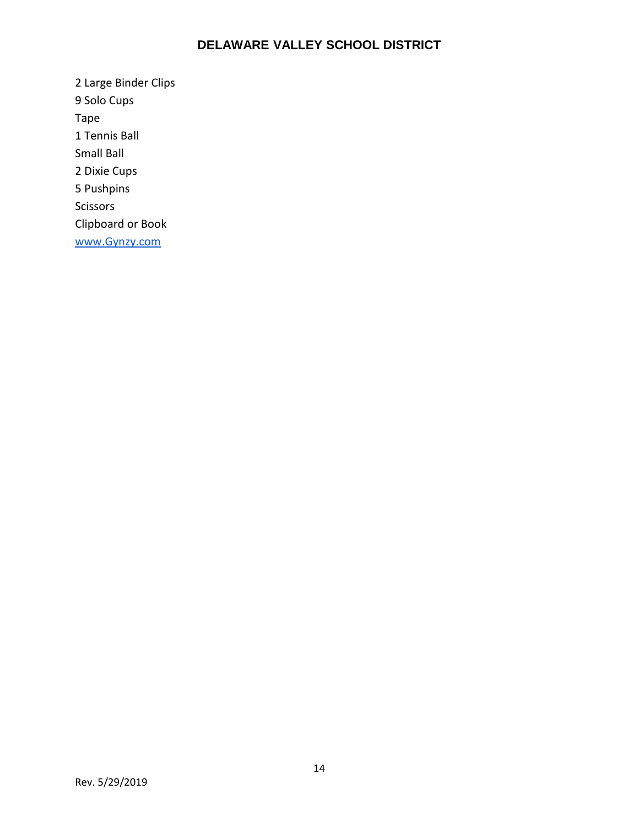2 Large Binder Clips 9 Solo Cups Tape 1 Tennis Ball Small Ball 2 Dixie Cups 5 Pushpins Scissors Clipboard or Book [www.Gynzy.com](http://www.gynzy.com/)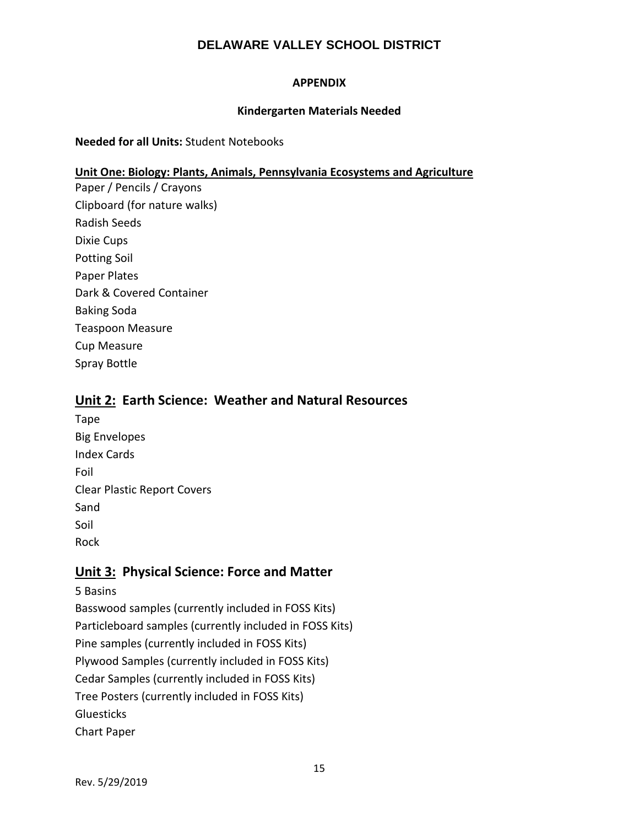#### **APPENDIX**

#### **Kindergarten Materials Needed**

#### **Needed for all Units:** Student Notebooks

#### **Unit One: Biology: Plants, Animals, Pennsylvania Ecosystems and Agriculture**

Paper / Pencils / Crayons Clipboard (for nature walks) Radish Seeds Dixie Cups Potting Soil Paper Plates Dark & Covered Container Baking Soda Teaspoon Measure Cup Measure Spray Bottle

## **Unit 2: Earth Science: Weather and Natural Resources**

Tape Big Envelopes Index Cards Foil Clear Plastic Report Covers Sand Soil Rock

## **Unit 3: Physical Science: Force and Matter**

5 Basins Basswood samples (currently included in FOSS Kits) Particleboard samples (currently included in FOSS Kits) Pine samples (currently included in FOSS Kits) Plywood Samples (currently included in FOSS Kits) Cedar Samples (currently included in FOSS Kits) Tree Posters (currently included in FOSS Kits) **Gluesticks** Chart Paper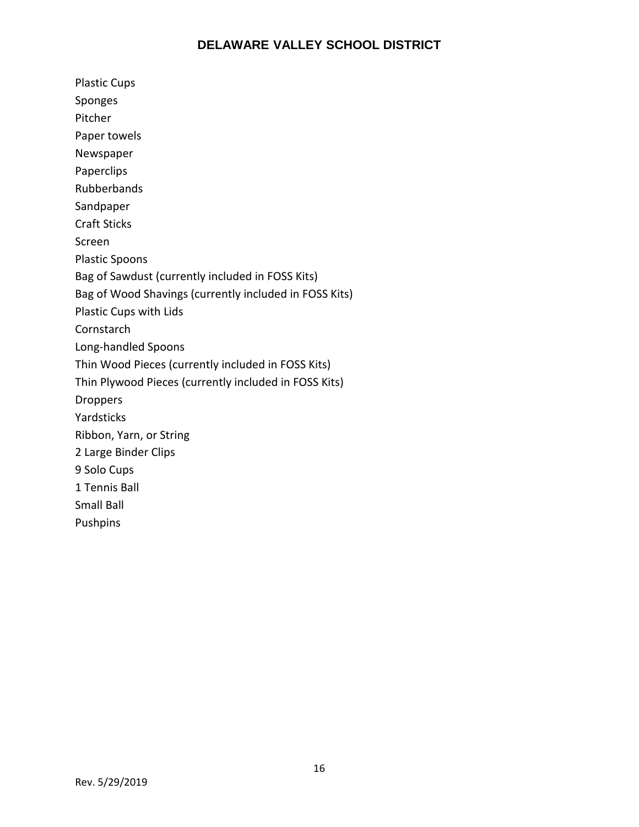Plastic Cups Sponges Pitcher Paper towels Newspaper Paperclips Rubberbands Sandpaper Craft Sticks Screen Plastic Spoons Bag of Sawdust (currently included in FOSS Kits) Bag of Wood Shavings (currently included in FOSS Kits) Plastic Cups with Lids Cornstarch Long-handled Spoons Thin Wood Pieces (currently included in FOSS Kits) Thin Plywood Pieces (currently included in FOSS Kits) Droppers Yardsticks Ribbon, Yarn, or String 2 Large Binder Clips 9 Solo Cups 1 Tennis Ball Small Ball Pushpins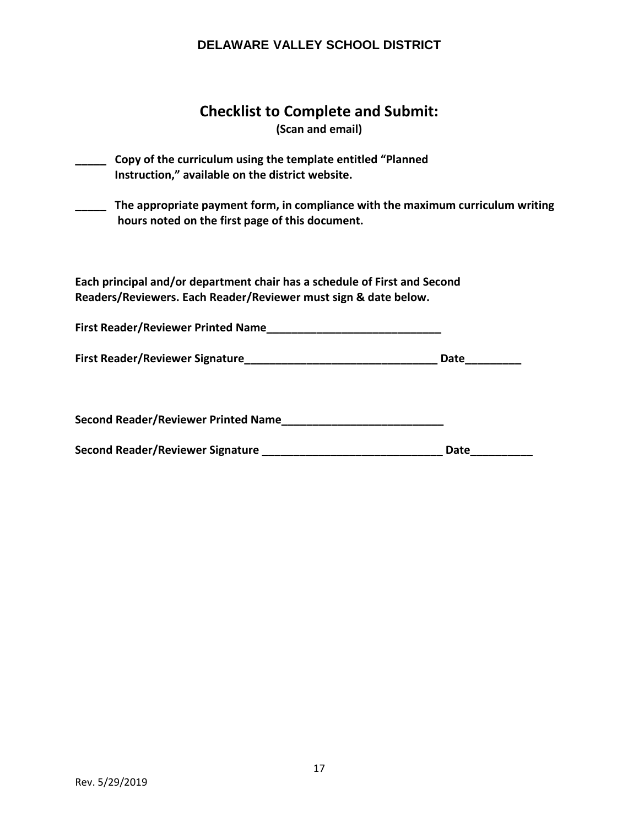## **Checklist to Complete and Submit:**

**(Scan and email)**

| Copy of the curriculum using the template entitled "Planned<br>Instruction," available on the district website.                              |      |  |  |  |  |
|----------------------------------------------------------------------------------------------------------------------------------------------|------|--|--|--|--|
| The appropriate payment form, in compliance with the maximum curriculum writing<br>hours noted on the first page of this document.           |      |  |  |  |  |
| Each principal and/or department chair has a schedule of First and Second<br>Readers/Reviewers. Each Reader/Reviewer must sign & date below. |      |  |  |  |  |
|                                                                                                                                              |      |  |  |  |  |
|                                                                                                                                              |      |  |  |  |  |
| Second Reader/Reviewer Printed Name                                                                                                          |      |  |  |  |  |
|                                                                                                                                              | Date |  |  |  |  |